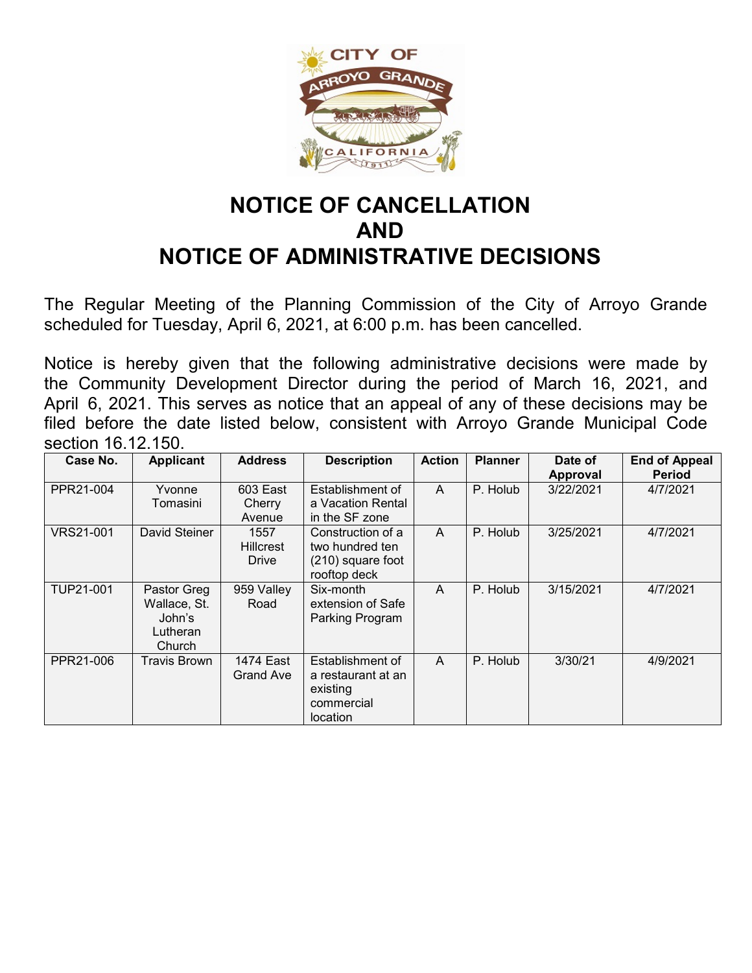

## **NOTICE OF CANCELLATION AND NOTICE OF ADMINISTRATIVE DECISIONS**

The Regular Meeting of the Planning Commission of the City of Arroyo Grande scheduled for Tuesday, April 6, 2021, at 6:00 p.m. has been cancelled.

Notice is hereby given that the following administrative decisions were made by the Community Development Director during the period of March 16, 2021, and April 6, 2021. This serves as notice that an appeal of any of these decisions may be filed before the date listed below, consistent with Arroyo Grande Municipal Code section 16.12.150.

| Case No.         | <b>Applicant</b>                                            | <b>Address</b>                    | <b>Description</b>                                                           | <b>Action</b> | <b>Planner</b> | Date of<br>Approval | <b>End of Appeal</b><br><b>Period</b> |
|------------------|-------------------------------------------------------------|-----------------------------------|------------------------------------------------------------------------------|---------------|----------------|---------------------|---------------------------------------|
| PPR21-004        | Yvonne<br>Tomasini                                          | 603 East<br>Cherry<br>Avenue      | Establishment of<br>a Vacation Rental<br>in the SF zone                      | A             | P. Holub       | 3/22/2021           | 4/7/2021                              |
| <b>VRS21-001</b> | David Steiner                                               | 1557<br><b>Hillcrest</b><br>Drive | Construction of a<br>two hundred ten<br>(210) square foot<br>rooftop deck    | A             | P. Holub       | 3/25/2021           | 4/7/2021                              |
| TUP21-001        | Pastor Greg<br>Wallace, St.<br>John's<br>Lutheran<br>Church | 959 Valley<br>Road                | Six-month<br>extension of Safe<br>Parking Program                            | A             | P. Holub       | 3/15/2021           | 4/7/2021                              |
| PPR21-006        | <b>Travis Brown</b>                                         | 1474 East<br><b>Grand Ave</b>     | Establishment of<br>a restaurant at an<br>existing<br>commercial<br>location | A             | P. Holub       | 3/30/21             | 4/9/2021                              |